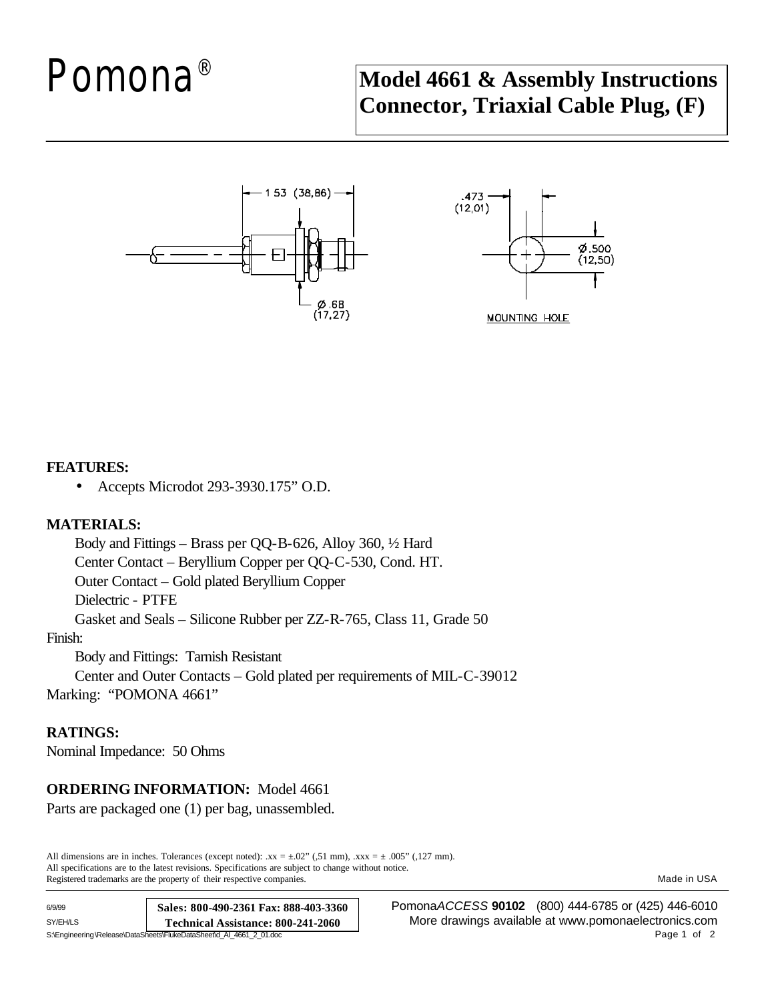# Pomona ®

# **Model 4661 & Assembly Instructions Connector, Triaxial Cable Plug, (F)**





#### **FEATURES:**

• Accepts Microdot 293-3930.175" O.D.

## **MATERIALS:**

Body and Fittings – Brass per QQ-B-626, Alloy 360, ½ Hard Center Contact – Beryllium Copper per QQ-C-530, Cond. HT. Outer Contact – Gold plated Beryllium Copper Dielectric - PTFE Gasket and Seals – Silicone Rubber per ZZ-R-765, Class 11, Grade 50

#### Finish:

Body and Fittings: Tarnish Resistant

Center and Outer Contacts – Gold plated per requirements of MIL-C-39012 Marking: "POMONA 4661"

## **RATINGS:**

Nominal Impedance: 50 Ohms

# **ORDERING INFORMATION:** Model 4661

Parts are packaged one (1) per bag, unassembled.

All dimensions are in inches. Tolerances (except noted):  $xx = \pm .02$ " (,51 mm),  $xxx = \pm .005$ " (,127 mm). All specifications are to the latest revisions. Specifications are subject to change without notice. Registered trademarks are the property of their respective companies. The match of the companies of the companies.

| 6/9/99                                                              | Sales: 800-490-2361 Fax: 888-403-3360 |
|---------------------------------------------------------------------|---------------------------------------|
| SY/EH/LS                                                            | Technical Assistance: 800-241-2060    |
| S:\Engineering\Release\DataSheets\FlukeDataSheet\d AI 4661 2 01.doc |                                       |